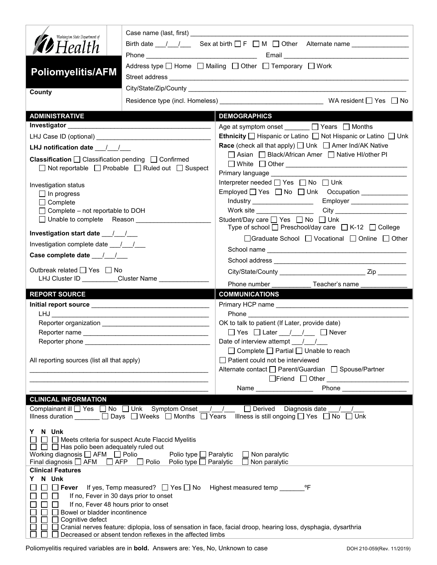| Washington State Department of                                                                                                                |                                                                                      |                                                                                                                                                                                                                                                                                                              |  |
|-----------------------------------------------------------------------------------------------------------------------------------------------|--------------------------------------------------------------------------------------|--------------------------------------------------------------------------------------------------------------------------------------------------------------------------------------------------------------------------------------------------------------------------------------------------------------|--|
| <b>12</b> Health                                                                                                                              |                                                                                      |                                                                                                                                                                                                                                                                                                              |  |
|                                                                                                                                               |                                                                                      | Address type   Home   Mailing   Other   Temporary   Work                                                                                                                                                                                                                                                     |  |
| <b>Poliomyelitis/AFM</b>                                                                                                                      |                                                                                      |                                                                                                                                                                                                                                                                                                              |  |
|                                                                                                                                               |                                                                                      |                                                                                                                                                                                                                                                                                                              |  |
| County                                                                                                                                        |                                                                                      |                                                                                                                                                                                                                                                                                                              |  |
|                                                                                                                                               |                                                                                      |                                                                                                                                                                                                                                                                                                              |  |
| <b>ADMINISTRATIVE</b>                                                                                                                         |                                                                                      | <b>DEMOGRAPHICS</b>                                                                                                                                                                                                                                                                                          |  |
|                                                                                                                                               |                                                                                      | Age at symptom onset ______ □ Years □ Months                                                                                                                                                                                                                                                                 |  |
|                                                                                                                                               |                                                                                      | Ethnicity □ Hispanic or Latino □ Not Hispanic or Latino □ Unk                                                                                                                                                                                                                                                |  |
| LHJ notification date $\frac{1}{\sqrt{2}}$                                                                                                    |                                                                                      | <b>Race</b> (check all that apply) $\Box$ Unk $\Box$ Amer Ind/AK Native                                                                                                                                                                                                                                      |  |
| <b>Classification</b> $\Box$ Classification pending $\Box$ Confirmed<br>$\Box$ Not reportable $\Box$ Probable $\Box$ Ruled out $\Box$ Suspect |                                                                                      | □ Asian □ Black/African Amer □ Native HI/other PI                                                                                                                                                                                                                                                            |  |
|                                                                                                                                               |                                                                                      |                                                                                                                                                                                                                                                                                                              |  |
|                                                                                                                                               |                                                                                      | Primary language <b>Example 20</b>                                                                                                                                                                                                                                                                           |  |
| Investigation status                                                                                                                          |                                                                                      | Interpreter needed $\Box$ Yes $\Box$ No $\Box$ Unk                                                                                                                                                                                                                                                           |  |
| $\Box$ In progress                                                                                                                            |                                                                                      |                                                                                                                                                                                                                                                                                                              |  |
| $\Box$ Complete                                                                                                                               |                                                                                      | Employer ___________________<br>Industry ______________________                                                                                                                                                                                                                                              |  |
| $\Box$ Complete – not reportable to DOH<br>□ Unable to complete Reason                                                                        |                                                                                      | Student/Day care n Yes n No n Unk                                                                                                                                                                                                                                                                            |  |
|                                                                                                                                               |                                                                                      | Type of school $\Box$ Preschool/day care $\Box$ K-12 $\Box$ College                                                                                                                                                                                                                                          |  |
|                                                                                                                                               |                                                                                      | □ Graduate School □ Vocational □ Online □ Other                                                                                                                                                                                                                                                              |  |
| Investigation complete date 11/1                                                                                                              |                                                                                      |                                                                                                                                                                                                                                                                                                              |  |
|                                                                                                                                               |                                                                                      |                                                                                                                                                                                                                                                                                                              |  |
| Outbreak related □ Yes □ No                                                                                                                   |                                                                                      |                                                                                                                                                                                                                                                                                                              |  |
|                                                                                                                                               | LHJ Cluster ID _________Cluster Name ____________                                    |                                                                                                                                                                                                                                                                                                              |  |
|                                                                                                                                               |                                                                                      |                                                                                                                                                                                                                                                                                                              |  |
|                                                                                                                                               |                                                                                      | Phone number <b>Example</b><br>Teacher's name                                                                                                                                                                                                                                                                |  |
| <b>REPORT SOURCE</b>                                                                                                                          |                                                                                      | <b>COMMUNICATIONS</b>                                                                                                                                                                                                                                                                                        |  |
|                                                                                                                                               |                                                                                      |                                                                                                                                                                                                                                                                                                              |  |
|                                                                                                                                               |                                                                                      |                                                                                                                                                                                                                                                                                                              |  |
|                                                                                                                                               |                                                                                      | OK to talk to patient (If Later, provide date)                                                                                                                                                                                                                                                               |  |
|                                                                                                                                               |                                                                                      | $\Box$ Yes $\Box$ Later / / $\Box$ Never<br>Date of interview attempt / /                                                                                                                                                                                                                                    |  |
| Reporter phone _                                                                                                                              |                                                                                      | $\Box$ Complete $\Box$ Partial $\Box$ Unable to reach                                                                                                                                                                                                                                                        |  |
| All reporting sources (list all that apply)                                                                                                   |                                                                                      | $\Box$ Patient could not be interviewed                                                                                                                                                                                                                                                                      |  |
|                                                                                                                                               |                                                                                      | Alternate contact   Parent/Guardian   Spouse/Partner                                                                                                                                                                                                                                                         |  |
|                                                                                                                                               |                                                                                      |                                                                                                                                                                                                                                                                                                              |  |
|                                                                                                                                               |                                                                                      | <b>Phone Contract Contract Contract Contract Contract Contract Contract Contract Contract Contract Contract Contract Contract Contract Contract Contract Contract Contract Contract Contract Contract Contract Contract Contra</b><br>Name $\frac{1}{\sqrt{1-\frac{1}{2}}}\left\vert \frac{1}{2}\right\vert$ |  |
| <b>CLINICAL INFORMATION</b>                                                                                                                   |                                                                                      |                                                                                                                                                                                                                                                                                                              |  |
| Complainant ill Ves No Unk Symptom Onset                                                                                                      |                                                                                      | $\Box$ Derived Diagnosis date / /<br>$\left  \begin{array}{cc} \end{array} \right $                                                                                                                                                                                                                          |  |
|                                                                                                                                               | Illness duration $\Box$ Days $\Box$ Weeks $\Box$ Months $\Box$ Years                 | Illness is still ongoing $\Box$ Yes $\Box$ No $\Box$ Unk                                                                                                                                                                                                                                                     |  |
| Y N Unk                                                                                                                                       |                                                                                      |                                                                                                                                                                                                                                                                                                              |  |
| □ □ Meets criteria for suspect Acute Flaccid Myelitis                                                                                         |                                                                                      |                                                                                                                                                                                                                                                                                                              |  |
| $\Box$ $\Box$ Has polio been adequately ruled out                                                                                             |                                                                                      |                                                                                                                                                                                                                                                                                                              |  |
| Working diagnosis □ AFM □ Polio<br>Final diagnosis $\Box$ AFM                                                                                 | Polio type $\Box$ Paralytic<br>$\Box$ AFP $\Box$ Polio Polio type $\Box$ Paralytic   | $\Box$ Non paralytic<br>$\Box$ Non paralytic                                                                                                                                                                                                                                                                 |  |
| <b>Clinical Features</b>                                                                                                                      |                                                                                      |                                                                                                                                                                                                                                                                                                              |  |
| N Unk<br>Y                                                                                                                                    |                                                                                      |                                                                                                                                                                                                                                                                                                              |  |
|                                                                                                                                               | $\Box$ Fever If yes, Temp measured? $\Box$ Yes $\Box$ No Highest measured temp _____ | °F                                                                                                                                                                                                                                                                                                           |  |
|                                                                                                                                               | If no, Fever in 30 days prior to onset                                               |                                                                                                                                                                                                                                                                                                              |  |
| If no, Fever 48 hours prior to onset<br>Bowel or bladder incontinence                                                                         |                                                                                      |                                                                                                                                                                                                                                                                                                              |  |
| Cognitive defect                                                                                                                              |                                                                                      | Cranial nerves feature: diplopia, loss of sensation in face, facial droop, hearing loss, dysphagia, dysarthria                                                                                                                                                                                               |  |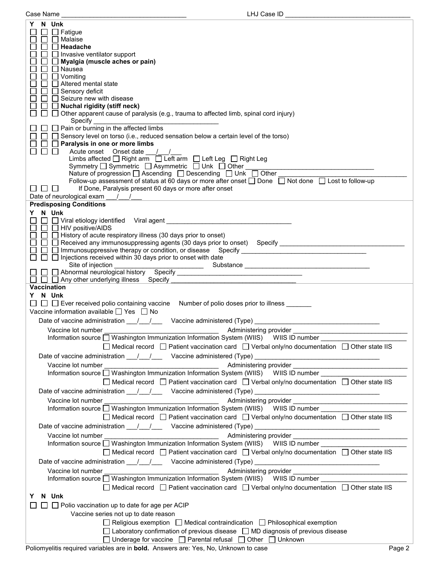| Case Name                                                                                                                                                                                                                                                                                                                                                                                            | LHJ Case ID                                                                                                                                                                                                                                                                                                                                                                                                                                                                                                                                                                                                            |
|------------------------------------------------------------------------------------------------------------------------------------------------------------------------------------------------------------------------------------------------------------------------------------------------------------------------------------------------------------------------------------------------------|------------------------------------------------------------------------------------------------------------------------------------------------------------------------------------------------------------------------------------------------------------------------------------------------------------------------------------------------------------------------------------------------------------------------------------------------------------------------------------------------------------------------------------------------------------------------------------------------------------------------|
| N Unk<br>Y<br>$\Box$ Fatigue<br>$\Box$ Malaise<br>$\Box$ Headache<br>$\Box$ Invasive ventilator support<br>$\Box$ Myalgia (muscle aches or pain)<br>$\Box$ Nausea<br>$\Box$ Vomiting<br>$\Box$ Altered mental state<br>□ Sensory deficit<br>□ Seizure new with disease<br>$\Box$ Nuchal rigidity (stiff neck)<br>Specify<br>Paralysis in one or more limbs<br>$\Box$<br>$\Box$<br>ப<br><b>LANGER</b> | $\Box$ Other apparent cause of paralysis (e.g., trauma to affected limb, spinal cord injury)<br>Pain or burning in the affected limbs<br>$\Box$ Sensory level on torso (i.e., reduced sensation below a certain level of the torso)<br>Acute onset Onset date //<br>Limbs affected   Right arm   Left arm   Left Leg   Right Leg<br>Symmetry □ Symmetric □ Asymmetric □ Unk □ Other ■<br>Nature of progression □ Ascending □ Descending □ Unk □ Other<br>Follow-up assessment of status at 60 days or more after onset □ Done □ Not done □ Lost to follow-up<br>If Done, Paralysis present 60 days or more after onset |
| Date of neurological exam _ / /                                                                                                                                                                                                                                                                                                                                                                      |                                                                                                                                                                                                                                                                                                                                                                                                                                                                                                                                                                                                                        |
| <b>Predisposing Conditions</b><br>Y N Unk<br>$\Box$ $\Box$ HIV positive/AIDS                                                                                                                                                                                                                                                                                                                         | □ □ History of acute respiratory illness (30 days prior to onset)<br>□ □ Received any immunosuppressing agents (30 days prior to onset) Specify ______________________________<br>$\Box$ Injections received within 30 days prior to onset with date                                                                                                                                                                                                                                                                                                                                                                   |
| Site of injection                                                                                                                                                                                                                                                                                                                                                                                    |                                                                                                                                                                                                                                                                                                                                                                                                                                                                                                                                                                                                                        |
|                                                                                                                                                                                                                                                                                                                                                                                                      |                                                                                                                                                                                                                                                                                                                                                                                                                                                                                                                                                                                                                        |
| $\Box$ $\Box$ Any other underlying illness Specify                                                                                                                                                                                                                                                                                                                                                   |                                                                                                                                                                                                                                                                                                                                                                                                                                                                                                                                                                                                                        |
|                                                                                                                                                                                                                                                                                                                                                                                                      |                                                                                                                                                                                                                                                                                                                                                                                                                                                                                                                                                                                                                        |
| Vaccination<br>Y N Unk<br>$\Box$ $\Box$ Ever received polio containing vaccine<br>Vaccine information available $\Box$ Yes $\Box$ No<br>Vaccine lot number                                                                                                                                                                                                                                           | Number of polio doses prior to illness _______<br>Date of vaccine administration ____/ ___/ ___ Vaccine administered (Type) __________________________<br>Administering provider<br>Information source □ Washington Immunization Information System (WIIS) WIIS ID number<br>$\Box$ Medical record $\Box$ Patient vaccination card $\Box$ Verbal only/no documentation $\Box$ Other state IIS                                                                                                                                                                                                                          |
|                                                                                                                                                                                                                                                                                                                                                                                                      |                                                                                                                                                                                                                                                                                                                                                                                                                                                                                                                                                                                                                        |
|                                                                                                                                                                                                                                                                                                                                                                                                      | Date of vaccine administration 11/2000 Vaccine administered (Type) 2008. [2010]                                                                                                                                                                                                                                                                                                                                                                                                                                                                                                                                        |
| Vaccine lot number                                                                                                                                                                                                                                                                                                                                                                                   |                                                                                                                                                                                                                                                                                                                                                                                                                                                                                                                                                                                                                        |
|                                                                                                                                                                                                                                                                                                                                                                                                      |                                                                                                                                                                                                                                                                                                                                                                                                                                                                                                                                                                                                                        |
|                                                                                                                                                                                                                                                                                                                                                                                                      |                                                                                                                                                                                                                                                                                                                                                                                                                                                                                                                                                                                                                        |
|                                                                                                                                                                                                                                                                                                                                                                                                      | □ Medical record □ Patient vaccination card □ Verbal only/no documentation □ Other state IIS                                                                                                                                                                                                                                                                                                                                                                                                                                                                                                                           |
|                                                                                                                                                                                                                                                                                                                                                                                                      | Date of vaccine administration 11/2000 Vaccine administered (Type) 2008. [2010]                                                                                                                                                                                                                                                                                                                                                                                                                                                                                                                                        |
| Vaccine lot number                                                                                                                                                                                                                                                                                                                                                                                   |                                                                                                                                                                                                                                                                                                                                                                                                                                                                                                                                                                                                                        |
|                                                                                                                                                                                                                                                                                                                                                                                                      | Information source □ Washington Immunization Information System (WIIS) WIIS ID number ______________                                                                                                                                                                                                                                                                                                                                                                                                                                                                                                                   |
|                                                                                                                                                                                                                                                                                                                                                                                                      |                                                                                                                                                                                                                                                                                                                                                                                                                                                                                                                                                                                                                        |
|                                                                                                                                                                                                                                                                                                                                                                                                      | $\Box$ Medical record $\Box$ Patient vaccination card $\Box$ Verbal only/no documentation $\Box$ Other state IIS                                                                                                                                                                                                                                                                                                                                                                                                                                                                                                       |
|                                                                                                                                                                                                                                                                                                                                                                                                      |                                                                                                                                                                                                                                                                                                                                                                                                                                                                                                                                                                                                                        |
| Vaccine lot number                                                                                                                                                                                                                                                                                                                                                                                   |                                                                                                                                                                                                                                                                                                                                                                                                                                                                                                                                                                                                                        |
|                                                                                                                                                                                                                                                                                                                                                                                                      |                                                                                                                                                                                                                                                                                                                                                                                                                                                                                                                                                                                                                        |
|                                                                                                                                                                                                                                                                                                                                                                                                      | Information source Mashington Immunization Information System (WIIS) WIIS ID number                                                                                                                                                                                                                                                                                                                                                                                                                                                                                                                                    |
|                                                                                                                                                                                                                                                                                                                                                                                                      | $\Box$ Medical record $\Box$ Patient vaccination card $\Box$ Verbal only/no documentation $\Box$ Other state IIS                                                                                                                                                                                                                                                                                                                                                                                                                                                                                                       |
|                                                                                                                                                                                                                                                                                                                                                                                                      |                                                                                                                                                                                                                                                                                                                                                                                                                                                                                                                                                                                                                        |
|                                                                                                                                                                                                                                                                                                                                                                                                      |                                                                                                                                                                                                                                                                                                                                                                                                                                                                                                                                                                                                                        |
| Vaccine lot number                                                                                                                                                                                                                                                                                                                                                                                   |                                                                                                                                                                                                                                                                                                                                                                                                                                                                                                                                                                                                                        |
|                                                                                                                                                                                                                                                                                                                                                                                                      | Information source $\Box$ Washington Immunization Information System (WIIS) WIIS ID number                                                                                                                                                                                                                                                                                                                                                                                                                                                                                                                             |
|                                                                                                                                                                                                                                                                                                                                                                                                      | Medical record $\Box$ Patient vaccination card $\Box$ Verbal only/no documentation $\Box$ Other state IIS                                                                                                                                                                                                                                                                                                                                                                                                                                                                                                              |
|                                                                                                                                                                                                                                                                                                                                                                                                      |                                                                                                                                                                                                                                                                                                                                                                                                                                                                                                                                                                                                                        |
| N Unk<br>Y.                                                                                                                                                                                                                                                                                                                                                                                          |                                                                                                                                                                                                                                                                                                                                                                                                                                                                                                                                                                                                                        |
| $\perp$                                                                                                                                                                                                                                                                                                                                                                                              | $\Box$ $\Box$ Polio vaccination up to date for age per ACIP                                                                                                                                                                                                                                                                                                                                                                                                                                                                                                                                                            |
|                                                                                                                                                                                                                                                                                                                                                                                                      | Vaccine series not up to date reason                                                                                                                                                                                                                                                                                                                                                                                                                                                                                                                                                                                   |
|                                                                                                                                                                                                                                                                                                                                                                                                      |                                                                                                                                                                                                                                                                                                                                                                                                                                                                                                                                                                                                                        |
|                                                                                                                                                                                                                                                                                                                                                                                                      | $\Box$ Religious exemption $\Box$ Medical contraindication $\Box$ Philosophical exemption                                                                                                                                                                                                                                                                                                                                                                                                                                                                                                                              |
|                                                                                                                                                                                                                                                                                                                                                                                                      | $\Box$ Laboratory confirmation of previous disease $\Box$ MD diagnosis of previous disease                                                                                                                                                                                                                                                                                                                                                                                                                                                                                                                             |
|                                                                                                                                                                                                                                                                                                                                                                                                      | □ Underage for vaccine □ Parental refusal □ Other □ Unknown                                                                                                                                                                                                                                                                                                                                                                                                                                                                                                                                                            |
|                                                                                                                                                                                                                                                                                                                                                                                                      | Deliancyclific nonvined vehicles are in bold. Anowene are: Vee, No. Unknown to                                                                                                                                                                                                                                                                                                                                                                                                                                                                                                                                         |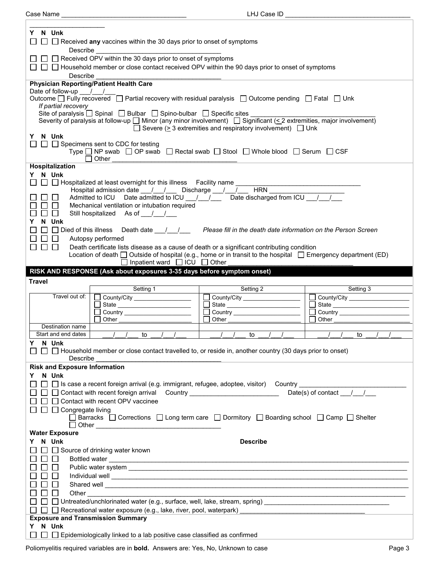$\Gamma$ 

Case Name \_\_\_\_\_\_\_\_\_\_\_\_\_\_\_\_\_\_\_\_\_\_\_\_\_\_\_\_\_\_\_\_\_\_\_ LHJ Case ID \_\_\_\_\_\_\_\_\_\_\_\_\_\_\_\_\_\_\_\_\_\_\_\_\_\_\_\_\_\_\_\_\_\_\_

| Y N Unk                                                                                                                                                                                                                                       |  |  |  |  |
|-----------------------------------------------------------------------------------------------------------------------------------------------------------------------------------------------------------------------------------------------|--|--|--|--|
| $\Box$ Received any vaccines within the 30 days prior to onset of symptoms                                                                                                                                                                    |  |  |  |  |
| Describe                                                                                                                                                                                                                                      |  |  |  |  |
| □ □ Received OPV within the 30 days prior to onset of symptoms                                                                                                                                                                                |  |  |  |  |
| $\Box$ $\Box$ Household member or close contact received OPV within the 90 days prior to onset of symptoms<br>Describe                                                                                                                        |  |  |  |  |
| <b>Physician Reporting/Patient Health Care</b>                                                                                                                                                                                                |  |  |  |  |
| Date of follow-up / /                                                                                                                                                                                                                         |  |  |  |  |
| Outcome $\Box$ Fully recovered $\Box$ Partial recovery with residual paralysis $\Box$ Outcome pending $\Box$ Fatal $\Box$ Unk                                                                                                                 |  |  |  |  |
| If partial recovery<br>Site of paralysis $\Box$ Spinal $\Box$ Bulbar $\Box$ Spino-bulbar $\Box$ Specific sites                                                                                                                                |  |  |  |  |
| Severity of paralysis at follow-up □ Minor (any minor involvement) □ Significant (< 2 extremities, major involvement)                                                                                                                         |  |  |  |  |
| $\Box$ Severe ( $\geq$ 3 extremities and respiratory involvement) $\Box$ Unk                                                                                                                                                                  |  |  |  |  |
| Y N Unk                                                                                                                                                                                                                                       |  |  |  |  |
| $\Box$ $\Box$ Specimens sent to CDC for testing                                                                                                                                                                                               |  |  |  |  |
| Type $\Box$ NP swab $\Box$ OP swab $\Box$ Rectal swab $\Box$ Stool $\Box$ Whole blood $\Box$ Serum $\Box$ CSF<br>Other                                                                                                                        |  |  |  |  |
| Hospitalization                                                                                                                                                                                                                               |  |  |  |  |
| Y N Unk                                                                                                                                                                                                                                       |  |  |  |  |
| □ □ Hospitalized at least overnight for this illness Facility name                                                                                                                                                                            |  |  |  |  |
| Admitted to ICU Date admitted to ICU / / Date discharged from ICU / /                                                                                                                                                                         |  |  |  |  |
| $\Box$<br>Mechanical ventilation or intubation required<br>$\Box$                                                                                                                                                                             |  |  |  |  |
| $\Box$<br>Still hospitalized As of / /<br>$\Box$                                                                                                                                                                                              |  |  |  |  |
| Y N Unk                                                                                                                                                                                                                                       |  |  |  |  |
|                                                                                                                                                                                                                                               |  |  |  |  |
| Autopsy performed                                                                                                                                                                                                                             |  |  |  |  |
| ⊓⊔<br>Death certificate lists disease as a cause of death or a significant contributing condition                                                                                                                                             |  |  |  |  |
| Location of death □ Outside of hospital (e.g., home or in transit to the hospital □ Emergency department (ED)                                                                                                                                 |  |  |  |  |
| $\Box$ Inpatient ward $\Box$ ICU $\Box$ Other<br>RISK AND RESPONSE (Ask about exposures 3-35 days before symptom onset)                                                                                                                       |  |  |  |  |
|                                                                                                                                                                                                                                               |  |  |  |  |
|                                                                                                                                                                                                                                               |  |  |  |  |
| <b>Travel</b>                                                                                                                                                                                                                                 |  |  |  |  |
| Setting 3<br>Setting 1<br>Setting 2<br>Travel out of:                                                                                                                                                                                         |  |  |  |  |
| County/City<br>County/City ____________________<br>County/City ___________________<br>□ State ___________________                                                                                                                             |  |  |  |  |
| $\Box$ Country                                                                                                                                                                                                                                |  |  |  |  |
| Other<br>Other<br>Other                                                                                                                                                                                                                       |  |  |  |  |
| Destination name<br>Start and end dates<br>to<br>to<br>to                                                                                                                                                                                     |  |  |  |  |
| Y N Unk                                                                                                                                                                                                                                       |  |  |  |  |
| $\Box$ Household member or close contact travelled to, or reside in, another country (30 days prior to onset)                                                                                                                                 |  |  |  |  |
| Describe                                                                                                                                                                                                                                      |  |  |  |  |
| <b>Risk and Exposure Information</b>                                                                                                                                                                                                          |  |  |  |  |
| N Unk<br>Y.                                                                                                                                                                                                                                   |  |  |  |  |
| $\Box$ Is case a recent foreign arrival (e.g. immigrant, refugee, adoptee, visitor) Country                                                                                                                                                   |  |  |  |  |
| Date(s) of contact $\frac{1}{\sqrt{2}}$<br>□ □ Contact with recent foreign arrival Country ________________________                                                                                                                           |  |  |  |  |
| $\Box$ $\Box$ Contact with recent OPV vaccinee                                                                                                                                                                                                |  |  |  |  |
| $\Box$ Congregate living<br>$□$ Barracks $□$ Corrections $□$ Long term care $□$ Dormitory $□$ Boarding school $□$ Camp $□$ Shelter                                                                                                            |  |  |  |  |
|                                                                                                                                                                                                                                               |  |  |  |  |
| <b>Water Exposure</b>                                                                                                                                                                                                                         |  |  |  |  |
| Y N Unk<br><b>Describe</b>                                                                                                                                                                                                                    |  |  |  |  |
| Source of drinking water known                                                                                                                                                                                                                |  |  |  |  |
|                                                                                                                                                                                                                                               |  |  |  |  |
|                                                                                                                                                                                                                                               |  |  |  |  |
|                                                                                                                                                                                                                                               |  |  |  |  |
| Shared well <b>contract the contract of the contract of the contract of the contract of the contract of the contract of the contract of the contract of the contract of the contract of the contract of the contract of the cont</b><br>Other |  |  |  |  |
| <u> 1989 - Johann Stoff, amerikansk politiker (d. 1989)</u>                                                                                                                                                                                   |  |  |  |  |
| $\Box$ $\Box$ Recreational water exposure (e.g., lake, river, pool, waterpark) ___________________________________                                                                                                                            |  |  |  |  |
| <b>Exposure and Transmission Summary</b>                                                                                                                                                                                                      |  |  |  |  |
| Y N Unk<br>Epidemiologically linked to a lab positive case classified as confirmed                                                                                                                                                            |  |  |  |  |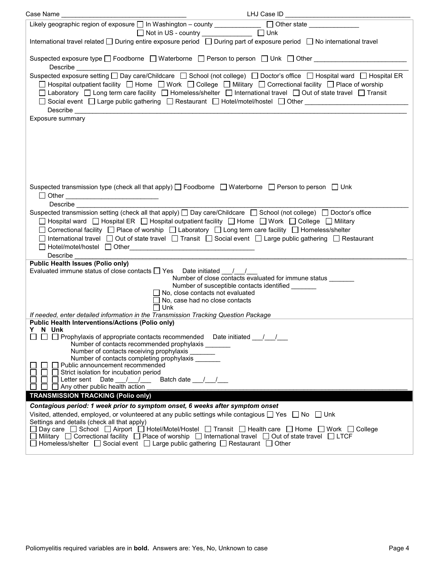| Likely geographic region of exposure and in Washington - county <b>contract and all of the state</b> <u>contract of the state</u>                                                                                                                                                                                                                                                                                                                                                                                                                                                                                                                                                       |                                                              |  |  |
|-----------------------------------------------------------------------------------------------------------------------------------------------------------------------------------------------------------------------------------------------------------------------------------------------------------------------------------------------------------------------------------------------------------------------------------------------------------------------------------------------------------------------------------------------------------------------------------------------------------------------------------------------------------------------------------------|--------------------------------------------------------------|--|--|
| □ Not in US - country _______________ □ Unk                                                                                                                                                                                                                                                                                                                                                                                                                                                                                                                                                                                                                                             |                                                              |  |  |
| International travel related □ During entire exposure period □ During part of exposure period □ No international travel                                                                                                                                                                                                                                                                                                                                                                                                                                                                                                                                                                 |                                                              |  |  |
| Suspected exposure type $\square$ Foodborne $\square$ Waterborne $\square$ Person to person $\square$ Unk $\square$ Other                                                                                                                                                                                                                                                                                                                                                                                                                                                                                                                                                               |                                                              |  |  |
| Suspected exposure setting □ Day care/Childcare □ School (not college) □ Doctor's office □ Hospital ward □ Hospital ER<br>□ Hospital outpatient facility □ Home □ Work □ College □ Military □ Correctional facility □ Place of worship<br>□ Laboratory □ Long term care facility □ Homeless/shelter □ International travel □ Out of state travel □ Transit<br>□ Social event □ Large public gathering □ Restaurant □ Hotel/motel/hostel □ Other<br>Describe <u>contract the contract of the contract of the contract of the contract of the contract of the contract of the contract of the contract of the contract of the contract of the contract of the contract of the contrac</u> |                                                              |  |  |
| Exposure summary                                                                                                                                                                                                                                                                                                                                                                                                                                                                                                                                                                                                                                                                        |                                                              |  |  |
|                                                                                                                                                                                                                                                                                                                                                                                                                                                                                                                                                                                                                                                                                         |                                                              |  |  |
| Suspected transmission type (check all that apply) $\Box$ Foodborne $\Box$ Waterborne $\Box$ Person to person $\Box$ Unk<br>□ Other ___________________________________<br>Describe                                                                                                                                                                                                                                                                                                                                                                                                                                                                                                     |                                                              |  |  |
| Suspected transmission setting (check all that apply) □ Day care/Childcare □ School (not college) □ Doctor's office                                                                                                                                                                                                                                                                                                                                                                                                                                                                                                                                                                     |                                                              |  |  |
| □ Hospital ward □ Hospital ER □ Hospital outpatient facility □ Home □ Work □ College □ Military<br>□ Correctional facility □ Place of worship □ Laboratory □ Long term care facility □ Homeless/shelter<br>□ International travel □ Out of state travel □ Transit □ Social event □ Large public gathering □ Restaurant                                                                                                                                                                                                                                                                                                                                                                  |                                                              |  |  |
| Describe                                                                                                                                                                                                                                                                                                                                                                                                                                                                                                                                                                                                                                                                                |                                                              |  |  |
| <b>Public Health Issues (Polio only)</b><br>Evaluated immune status of close contacts $\Box$ Yes Date initiated $\frac{1}{\Box}$                                                                                                                                                                                                                                                                                                                                                                                                                                                                                                                                                        |                                                              |  |  |
|                                                                                                                                                                                                                                                                                                                                                                                                                                                                                                                                                                                                                                                                                         | Number of close contacts evaluated for immune status _______ |  |  |
| Number of susceptible contacts identified ______                                                                                                                                                                                                                                                                                                                                                                                                                                                                                                                                                                                                                                        |                                                              |  |  |
| $\Box$ No, close contacts not evaluated<br>$\Box$ No, case had no close contacts                                                                                                                                                                                                                                                                                                                                                                                                                                                                                                                                                                                                        |                                                              |  |  |
| $\Box$ Unk                                                                                                                                                                                                                                                                                                                                                                                                                                                                                                                                                                                                                                                                              |                                                              |  |  |
| If needed, enter detailed information in the Transmission Tracking Question Package                                                                                                                                                                                                                                                                                                                                                                                                                                                                                                                                                                                                     |                                                              |  |  |
| <b>Public Health Interventions/Actions (Polio only)</b>                                                                                                                                                                                                                                                                                                                                                                                                                                                                                                                                                                                                                                 |                                                              |  |  |
| N UNK<br>$\Box$ Prophylaxis of appropriate contacts recommended Date initiated / /                                                                                                                                                                                                                                                                                                                                                                                                                                                                                                                                                                                                      |                                                              |  |  |
| Number of contacts recommended prophylaxis ______                                                                                                                                                                                                                                                                                                                                                                                                                                                                                                                                                                                                                                       |                                                              |  |  |
| Number of contacts receiving prophylaxis<br>Number of contacts completing prophylaxis __                                                                                                                                                                                                                                                                                                                                                                                                                                                                                                                                                                                                |                                                              |  |  |
| Public announcement recommended                                                                                                                                                                                                                                                                                                                                                                                                                                                                                                                                                                                                                                                         |                                                              |  |  |
| $\Box$ Strict isolation for incubation period                                                                                                                                                                                                                                                                                                                                                                                                                                                                                                                                                                                                                                           |                                                              |  |  |
| Letter sent Date / /<br>Batch date / /<br>Any other public health action                                                                                                                                                                                                                                                                                                                                                                                                                                                                                                                                                                                                                |                                                              |  |  |
| <b>TRANSMISSION TRACKING (Polio only)</b>                                                                                                                                                                                                                                                                                                                                                                                                                                                                                                                                                                                                                                               |                                                              |  |  |
| Contagious period: 1 week prior to symptom onset, 6 weeks after symptom onset                                                                                                                                                                                                                                                                                                                                                                                                                                                                                                                                                                                                           |                                                              |  |  |
| Visited, attended, employed, or volunteered at any public settings while contagious $\Box$ Yes $\Box$ No $\Box$ Unk                                                                                                                                                                                                                                                                                                                                                                                                                                                                                                                                                                     |                                                              |  |  |
| Settings and details (check all that apply)                                                                                                                                                                                                                                                                                                                                                                                                                                                                                                                                                                                                                                             |                                                              |  |  |
| Day care  □ School □ Airport □ Hotel/Motel/Hostel □ Transit □ Health care □ Home □ Work □ College<br>$\Box$ Military $\;\Box$ Correctional facility $\;\Box$ Place of worship $\;\Box$ International travel $\;\Box$ Out of state travel $\;\Box$ LTCF<br>$□$ Homeless/shelter $□$ Social event $□$ Large public gathering $□$ Restaurant $□$ Other                                                                                                                                                                                                                                                                                                                                     |                                                              |  |  |
|                                                                                                                                                                                                                                                                                                                                                                                                                                                                                                                                                                                                                                                                                         |                                                              |  |  |